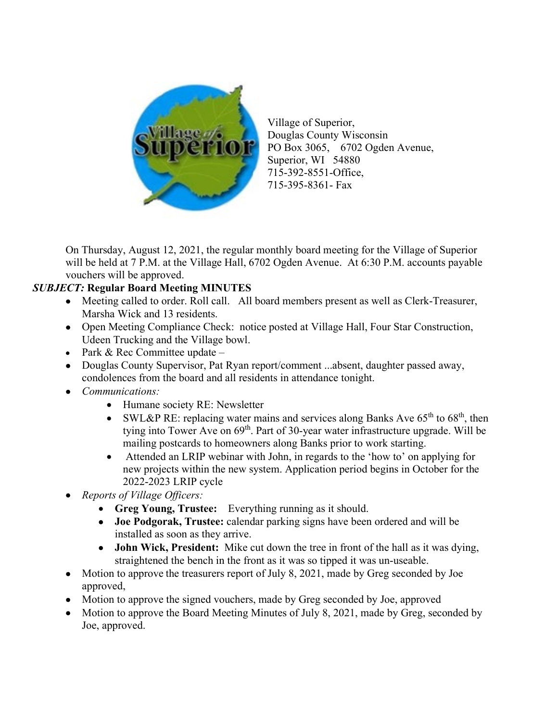

Village of Superior, Douglas County Wisconsin PO Box 3065, 6702 Ogden Avenue, Superior, WI 54880 715-392-8551-Office, 715-395-8361- Fax

On Thursday, August 12, 2021, the regular monthly board meeting for the Village of Superior will be held at 7 P.M. at the Village Hall, 6702 Ogden Avenue. At 6:30 P.M. accounts payable vouchers will be approved.

## *SUBJECT:* **Regular Board Meeting MINUTES**

- Meeting called to order. Roll call. All board members present as well as Clerk-Treasurer, Marsha Wick and 13 residents.
- Open Meeting Compliance Check: notice posted at Village Hall, Four Star Construction, Udeen Trucking and the Village bowl.
- Park & Rec Committee update –
- Douglas County Supervisor, Pat Ryan report/comment ...absent, daughter passed away, condolences from the board and all residents in attendance tonight.
- *Communications:*
	- Humane society RE: Newsletter
	- SWL&P RE: replacing water mains and services along Banks Ave  $65<sup>th</sup>$  to  $68<sup>th</sup>$ , then tying into Tower Ave on 69<sup>th</sup>. Part of 30-year water infrastructure upgrade. Will be mailing postcards to homeowners along Banks prior to work starting.
	- Attended an LRIP webinar with John, in regards to the 'how to' on applying for new projects within the new system. Application period begins in October for the 2022-2023 LRIP cycle
- *Reports of Village Officers:* 
	- **Greg Young, Trustee:** Everything running as it should.
	- **Joe Podgorak, Trustee:** calendar parking signs have been ordered and will be installed as soon as they arrive.
	- **John Wick, President:** Mike cut down the tree in front of the hall as it was dying, straightened the bench in the front as it was so tipped it was un-useable.
- Motion to approve the treasurers report of July 8, 2021, made by Greg seconded by Joe approved,
- Motion to approve the signed vouchers, made by Greg seconded by Joe, approved
- Motion to approve the Board Meeting Minutes of July 8, 2021, made by Greg, seconded by Joe, approved.